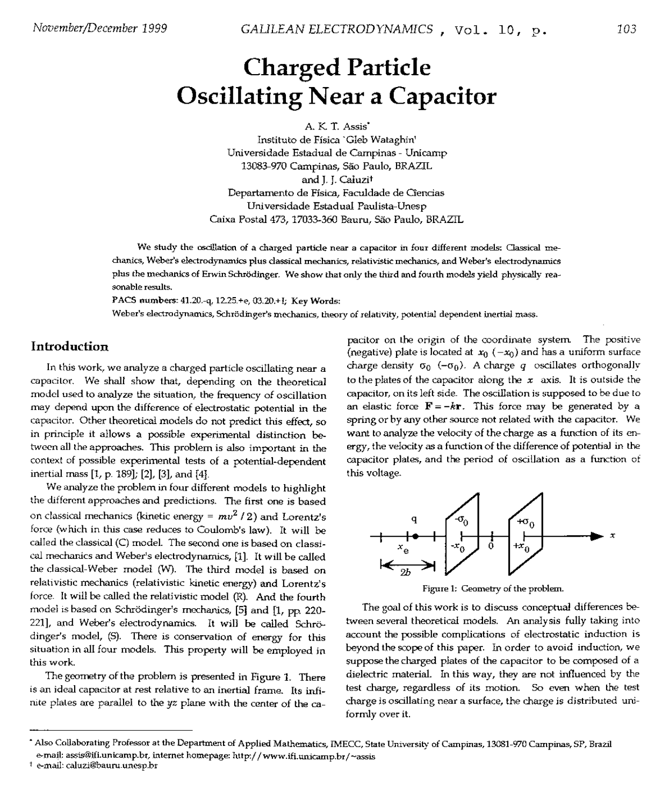# Charged Particle Oscillating Near a Capacitor

A. K T. Assis·

Instituto de Fisica 'Gleb Wataghin' Universidade Estadual de Campinas - Unicamp 13083-970 Campinas, sao Paulo, BRAZIL and J. J. Caluzit Departamento de Física, Faculdade de Cîencias Universidade Estadual Paulista-Unesp Caixa Postal 473, 17033-360 Bauru, sao Paulo, BRAZIL

We study the oscillation of a charged particle near a capacitor in four different models: Oassical mechanics, Weber's electrodynamics plus classical mechanics, relativistic mechanics, and Weber's electrodynamics plus the mechanics of Erwin Schrödinger. We show that only the third and fourth models yield physically reasonable results.

PACS numbers: 41.20.-q, 12.25.+e, 03.20.+I; Key Words:

Weber's electrodynamics, Schrödinger's mechanics, theory of relativity, potential dependent inertial mass.

#### **Introduction**

In this work, we analyze a charged particle oscillating near a capacitor. We shall show that, depending on the theoretical model used to analyze the situation, the frequency of oscillation may depend upon the difference of electrostatic potential in the capacitor. Other theoretical models do not predict this effect, so in principle it allows a possible experimental distinction between all the approaches. This problem is also important in the context of possible experimental tests of a potential-dependent inertial mass [1, p. 189]; [2], [3], and [4].

We analyze the problem in four different models to highlight the different approaches and predictions. The first one is based on classical mechanics (kinetic energy =  $mv^2/2$ ) and Lorentz's force (which in this case reduces to Coulomb's law). It will be called the classical (C) model. The second one is based on classical mechanics and Weber's electrodynamics, [1]. It will be called the classical-Weber model (W). The third model is based on relativistic mechanics (relativistic kinetic energy) and Lorentz's force\_ It will be called the relativistic model (R). And the fourth model is based on Schrödinger's mechanics, [5] and [1, pp. 220-221], and Weber's electrodynamics. It will be called Schrödinger's model, (5). There is conservation of energy for this situation in all four models. This property will be employed in this work.

The geometry of the problem is presented in Figure 1. There is an ideal capacitor at rest relative to an inertial frame. Its infirute plates are parallel to the *yz* plane with the center of the ca-

pacitor on the origin of the coordinate system. The positive (negative) plate is located at  $x_0$  ( $-x_0$ ) and has a uniform surface charge density  $\sigma_0$  (- $\sigma_0$ ). A charge *q* oscillates orthogonally to the plates of the capacitor along the *x* axis. It is outside the capacitor, on its left side. The oscillation is supposed to be due to an elastic force  $\mathbf{F} = -k\mathbf{r}$ . This force may be generated by a spring or by any other source not related with the capacitor. We want to analyze the velocity of the charge as a function of its energy, the velocity as a function of the difference of potential in the capacitor plates, and the period of oscillation as a function of this voltage.



figure 1: Geometry of the problem.

The goal of this work is to discuss conceptual differences between several theoretical models. An analysis fully taking into account the possible complications of electrostatic induction is beyond the scope of this paper. In order to avoid induction, we suppose the charged plates of the capacitor to be composed of a dielectric material. In this way, they are not influenced by the test charge, regardless of its motion. So even when the test charge is oscillating near a surface, the charge is distributed uniformly over it.

<sup>\*</sup> Also Collaborating Professor at the Department of Applied Mathematics, IMECC, State University of Campinas, 13081-970 Campinas, SP, Brazil e-mail: assis@ifi.unicamp.br, internet homepage: http://www.ifi.unicamp.br/~assis

t e-mail: caluzi@bauru.unesp.br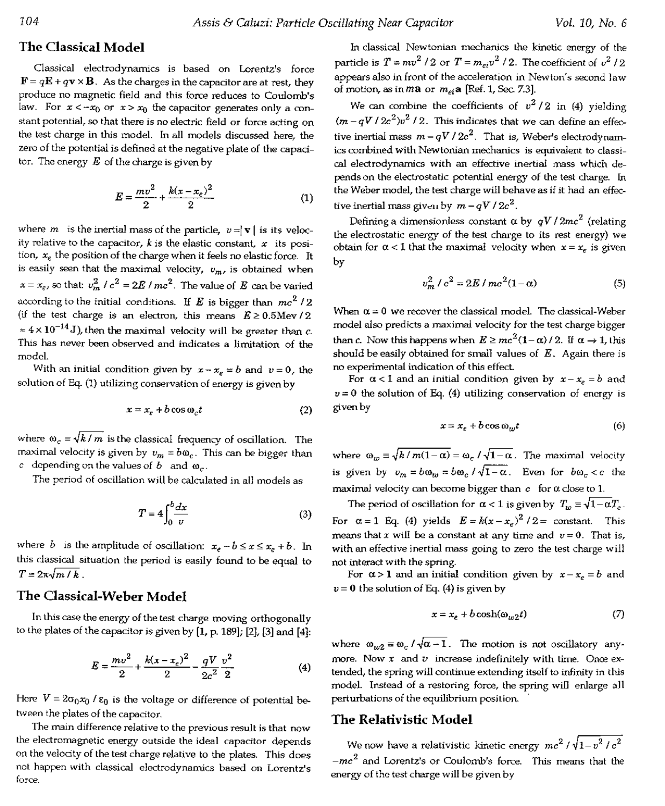## **The Classical Model**

Classical electrodynamics is based on Lorentz's force  $\mathbf{F} = q\mathbf{E} + q\mathbf{v} \times \mathbf{B}$ . As the charges in the capacitor are at rest, they produce no magnetic field and this force reduces to Coulomb's law. For  $x < -x_0$  or  $x > x_0$  the capacitor generates only a constant potential, so that there is no electric field or force acting on the test charge in this model. In all models discussed here, the zero of the potential is defined at the negative plate of the capacitor. The enerey *E* of the charge is given by

$$
E = \frac{mv^2}{2} + \frac{k(x - x_e)^2}{2}
$$
 (1)

where *m* is the inertial mass of the particle,  $v = |\mathbf{v}|$  is its velocity relative to the capacitor,  $k$  is the elastic constant,  $x$  its position, *xe* the position of the charge when it feels no elastic force. It is easily seen that the maximal velocity,  $v_m$ , is obtained when  $x = x_e$ , so that:  $v_m^2 / c^2 = 2E / mc^2$ . The value of E can be varied according to the initial conditions. If  $E$  is bigger than  $mc^2/2$ (if the test charge is an electron, this means  $E \ge 0.5$ Mev/2  $= 4 \times 10^{-14}$  J), then the maximal velocity will be greater than c. This has never been observed and indicates a limitation of the modeL

With an initial condition given by  $x - x_e = b$  and  $v = 0$ , the solution of Eq. (1) utilizing conservation of energy is given by

$$
x = x_e + b \cos \omega_c t \tag{2}
$$

where  $\omega_c \equiv \sqrt{k/m}$  is the classical frequency of oscillation. The maximal velocity is given by  $v_m = b\omega_c$ . This can be bigger than *c* depending on the values of  $b$  and  $\omega_c$ .

The period of oscillation will be calculated in all models as

$$
T = 4 \int_0^b \frac{dx}{v} \tag{3}
$$

where *b* is the amplitude of oscillation:  $x_e - b \le x \le x_e + b$ . In this classical situation the period is easily found to be equal to  $T=2\pi\sqrt{m/k}$ .

## **The Classical-Weber Model**

In this case the energy of the test charge moving orthogonally to the plates of the capacitor is given by [1, p. 189]; [2J, [3] and [4]:

$$
E = \frac{mv^2}{2} + \frac{k(x - x_e)^2}{2} - \frac{qV}{2c^2} \frac{v^2}{2}
$$
 (4)

Here  $V = 2\sigma_0 x_0 / \varepsilon_0$  is the voltage or difference of potential between the plates of the capacitor.

The main difference relative to the previous result is that now the electromagnetic energy outside the ideal capacitor depends on the velocity of the test charge relative to the plates. This does not happen with classical electrodynamics based on Lorentz's force.

In classical Newtonian mechanics the kinetic energy of the particle is  $T = mv^2 / 2$  or  $T = m_{ei} v^2 / 2$ . The coefficient of  $v^2 / 2$ appears also in front of the acceleration in Newton's second law of motion, as in  $m$ a or  $m_{ei}$ a [Ref. 1, Sec. 7.3].

We can combine the coefficients of  $v^2/2$  in (4) yielding  $(m - qV / 2c^2)v^2 / 2$ . This indicates that we can define an effective inertial mass  $m - qV$  /  $2c^2$ . That is, Weber's electrodynamics combined with Newtonian mechanics is equivalent to classical electrodynamics with an effective inertial mass which depends on the electrostatic potential energy of the test charge. Tn the Weber model, the test charge will behave as if it had an effective inertial mass given by  $m - qV / 2c^2$ .

Defining a dimensionless constant  $\alpha$  by  $qV/2mc^2$  (relating the electrostatic energy of the test charge to its rest energy) we obtain for  $\alpha$  < 1 that the maximal velocity when  $x = x_e$  is given by

$$
v_m^2 / c^2 = 2E / mc^2 (1 - \alpha)
$$
 (5)

When  $\alpha = 0$  we recover the classical model. The classical-Weber model also predicts a maximal velocity for the test charge bigger than *c*. Now this happens when  $E \ge mc^2(1-\alpha)/2$ . If  $\alpha \to 1$ , this should be easily obtained for small values of  $E$ . Again there is no experimental indication of this effect.

For  $\alpha < 1$  and an initial condition given by  $x - x_e = b$  and  $v = 0$  the solution of Eq. (4) utilizing conservation of energy is given by

$$
x = x_e + b \cos \omega_w t \tag{6}
$$

where  $\omega_m \equiv \sqrt{k/m(1-\alpha)} = \omega_c/\sqrt{1-\alpha}$ . The maximal velocity is given by  $v_m = b\omega_m = b\omega_c / \sqrt{1-\alpha}$ . Even for  $b\omega_c < c$  the maximal velocity can become bigger than  $c$  for  $\alpha$  close to 1.

The period of oscillation for  $\alpha < 1$  is given by  $T_w \equiv \sqrt{1 - \alpha} T_c$ . For  $\alpha = 1$  Eq. (4) yields  $E = k(x - x_e)^2 / 2 =$  constant. This means that *x* will be a constant at any time and  $v = 0$ . That is, with an effective inertial mass going to zero the test charge will not interact with the spring.

For  $\alpha > 1$  and an initial condition given by  $x - x_e = b$  and *v* = 0 the solution *oiEq.* (4) is given by

$$
x = x_e + b \cosh(\omega_{w2} t) \tag{7}
$$

where  $\omega_{w2} = \omega_c / \sqrt{\alpha - 1}$ . The motion is not oscillatory anymore. Now *x* and *v* increase indefinitely with time. Once extended, the spring will continue extending itself to infinity in this modeL Instead of a restoring force, the spring will enlarge all perturbations of the equilibrium position.

### **The Relativistic Model**

We now have a relativistic kinetic energy  $mc^2 / \sqrt{1-v^2/c^2}$ *\_mc2* and lorentz's or Coulomb's force. This means that the energy of the test charge will be given by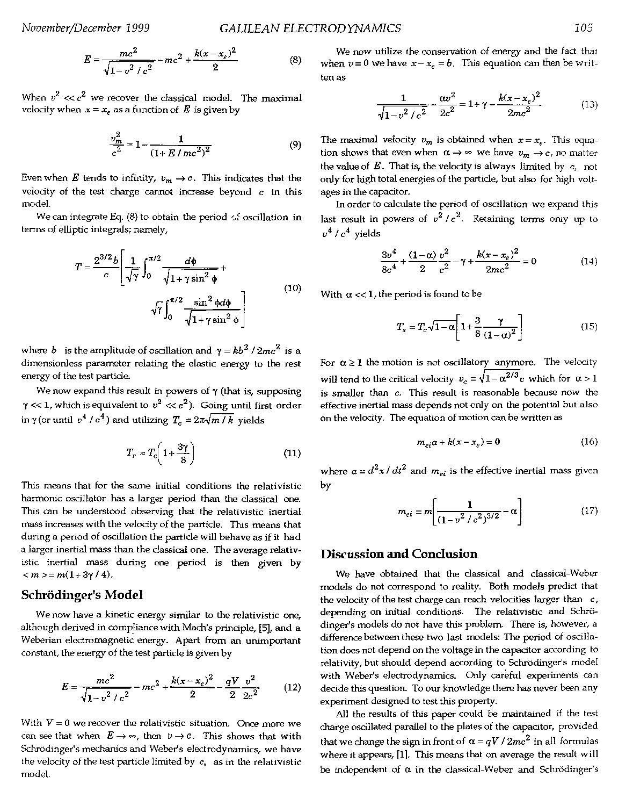$$
E = \frac{mc^2}{\sqrt{1 - v^2/c^2}} - mc^2 + \frac{k(x - x_e)^2}{2}
$$
 (8)

When  $v^2 \ll c^2$  we recover the classical model. The maximal velocity when  $x = x_e$  as a function of *E* is given by

$$
\frac{v_m^2}{c^2} = 1 - \frac{1}{(1 + E/mc^2)^2}
$$
(9)

Even when *E* tends to infinity,  $v_m \rightarrow c$ . This indicates that the velocity of the test charge cannot increase beyond  $c$  in this model.

We can integrate Eq. (8) to obtain the period  $\leq$  oscillation in terms of elliptic integrals; namely,

$$
T = \frac{2^{3/2}b}{c} \left[ \frac{1}{\sqrt{\gamma}} \int_0^{\pi/2} \frac{d\phi}{\sqrt{1 + \gamma \sin^2 \phi}} + \sqrt{\gamma} \int_0^{\pi/2} \frac{\sin^2 \phi d\phi}{\sqrt{1 + \gamma \sin^2 \phi}} \right]
$$
(10)

where *b* is the amplitude of oscillation and  $\gamma = kb^2 / 2mc^2$  is a dimensionless parameter relating the elastic energy to the rest energy of the test particle.

We now expand this result in powers of  $\gamma$  (that is, supposing  $\gamma \ll 1$ , which is equivalent to  $v^2 \ll c^2$ ). Going until first order in  $\gamma$  (or until  $v^4 / c^4$ ) and utilizing  $T_c = 2\pi \sqrt{m/k}$  yields

$$
T_r \approx T_c \left( 1 + \frac{3\gamma}{8} \right) \tag{11}
$$

This means that for the same initial conditions the relativistic harmonic oscillator has a larger period than the classical one. This can be understood observing that the relativistic inertial mass increases with the velocity of the particle. This means that during a period of oscillation the particle will behave as if it had a larger inertial mass than the classical one. The average relativistic inertial mass during one period is then given by  $<$   $m$   $>$   $=$   $m(1+3\gamma/4)$ .

#### **Schrodinger's Model**

We now have a kinetic energy similar to the relativistic one, although derived in compliance with Mach's principle, [5], and a Weberian electromagnetic energy. Apart from an unimportant constant, the energy of the test particle is given by

$$
E = \frac{mc^2}{\sqrt{1 - v^2/c^2}} - mc^2 + \frac{k(x - x_e)^2}{2} - \frac{qV}{2}\frac{v^2}{2c^2}
$$
(12)

With  $V = 0$  we recover the relativistic situation. Once more we can see that when  $E \to \infty$ , then  $v \to c$ . This shows that with Schrödinger's mechanics and Weber's electrodynamics, we have the velocity of the test particle limited by  $c$ , as in the relativistic model.

We now utilize the conservation of energy and the fact that when  $v=0$  we have  $x-x_e = b$ . This equation can then be written as

$$
\frac{1}{\sqrt{1 - v^2/c^2}} - \frac{\alpha v^2}{2c^2} = 1 + \gamma - \frac{k(x - x_e)^2}{2mc^2}
$$
(13)

The maximal velocity  $v_m$  is obtained when  $x = x_e$ . This equation shows that even when  $\alpha \rightarrow \infty$  we have  $v_m \rightarrow c$ , no matter the value of  $E$ . That is, the velocity is always limited by  $c$ , not only for high total energies of the particle, but also for high voltages in the capacitor.

In order to calculate the period of oscillation we expand this last result in powers of  $v^2/c^2$ . Retaining terms only up to  $v^4/c^4$  yields

$$
\frac{3v^4}{8c^4} + \frac{(1-\alpha)v^2}{2c^2} - \gamma + \frac{k(x - x_e)^2}{2mc^2} = 0
$$
 (14)

With  $\alpha \ll 1$ , the period is found to be

$$
T_s = T_c \sqrt{1 - \alpha} \left[ 1 + \frac{3}{8} \frac{\gamma}{(1 - \alpha)^2} \right] \tag{15}
$$

For  $\alpha \ge 1$  the motion is not oscillatory anymore. The velocity will tend to the critical velocity  $v_c = \sqrt{1-\alpha^{2/3}}c$  which for  $\alpha > 1$ is smaller than c. This result is reasonable because now the effective inertial mass depends not only on the potential but also on the velocity. The equation of motion can be written as

$$
m_{ei}a + k(x - x_e) = 0 \tag{16}
$$

where  $a = d^2x/dt^2$  and  $m_{el}$  is the effective inertial mass given by

$$
m_{ei} \equiv m \left[ \frac{1}{\left(1 - v^2 / c^2\right)^{3/2}} - \alpha \right] \tag{17}
$$

### **Discussion and Conclusion**

We have obtained that the classical and classical-Weber models do not correspond to reality. Both models predict that the velocity of the test charge can reach velocities larger than  $c$ , depending on initial conditions. The relativistic and Schrödinger's models do not have this problem. There is, however, a difference between these two last models: The period of oscillation does not depend on the voltage in the capacitor according to relativity, but should depend according to Schrödinger's model with Weber's electrodynamics. Only careful experiments can decide this question. To our knowledge there has never been any experiment designed to test this property.

All the results of this paper could be maintained if the test charge oscillated parallel to the plates of the capacitor, provided that we change the sign in front of  $\alpha = qV/2mc^2$  in all formulas where it appears, [1]. This means that on average the result will be independent of  $\alpha$  in the classical-Weber and Schrödinger's